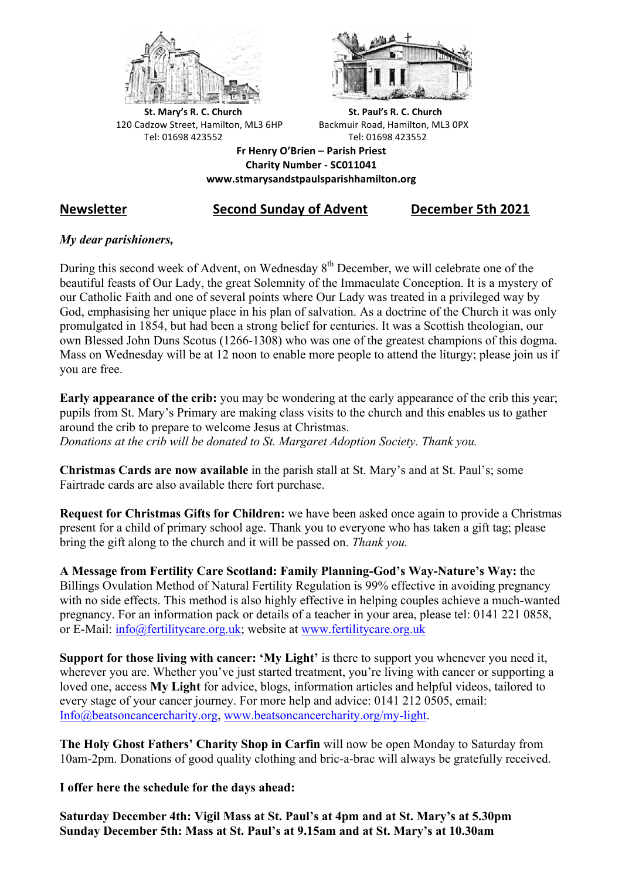



**St.** Mary's R. C. Church St. Paul's R. C. Church 120 Cadzow Street, Hamilton, ML3 6HP Backmuir Road, Hamilton, ML3 0PX Tel: 01698 423552 Tel: 01698 423552

**Fr Henry O'Brien – Parish Priest Charity Number - SC011041 www.stmarysandstpaulsparishhamilton.org**

# **Newsletter Second Sunday of Advent December 5th 2021**

# *My dear parishioners,*

During this second week of Advent, on Wednesday  $8<sup>th</sup>$  December, we will celebrate one of the beautiful feasts of Our Lady, the great Solemnity of the Immaculate Conception. It is a mystery of our Catholic Faith and one of several points where Our Lady was treated in a privileged way by God, emphasising her unique place in his plan of salvation. As a doctrine of the Church it was only promulgated in 1854, but had been a strong belief for centuries. It was a Scottish theologian, our own Blessed John Duns Scotus (1266-1308) who was one of the greatest champions of this dogma. Mass on Wednesday will be at 12 noon to enable more people to attend the liturgy; please join us if you are free.

**Early appearance of the crib:** you may be wondering at the early appearance of the crib this year; pupils from St. Mary's Primary are making class visits to the church and this enables us to gather around the crib to prepare to welcome Jesus at Christmas. *Donations at the crib will be donated to St. Margaret Adoption Society. Thank you.*

**Christmas Cards are now available** in the parish stall at St. Mary's and at St. Paul's; some Fairtrade cards are also available there fort purchase.

**Request for Christmas Gifts for Children:** we have been asked once again to provide a Christmas present for a child of primary school age. Thank you to everyone who has taken a gift tag; please bring the gift along to the church and it will be passed on. *Thank you.*

**A Message from Fertility Care Scotland: Family Planning-God's Way-Nature's Way:** the Billings Ovulation Method of Natural Fertility Regulation is 99% effective in avoiding pregnancy with no side effects. This method is also highly effective in helping couples achieve a much-wanted pregnancy. For an information pack or details of a teacher in your area, please tel: 0141 221 0858, or E-Mail: info@fertilitycare.org.uk; website at www.fertilitycare.org.uk

**Support for those living with cancer: 'My Light'** is there to support you whenever you need it, wherever you are. Whether you've just started treatment, you're living with cancer or supporting a loved one, access **My Light** for advice, blogs, information articles and helpful videos, tailored to every stage of your cancer journey. For more help and advice: 0141 212 0505, email: Info@beatsoncancercharity.org, www.beatsoncancercharity.org/my-light.

**The Holy Ghost Fathers' Charity Shop in Carfin** will now be open Monday to Saturday from 10am-2pm. Donations of good quality clothing and bric-a-brac will always be gratefully received.

**I offer here the schedule for the days ahead:**

**Saturday December 4th: Vigil Mass at St. Paul's at 4pm and at St. Mary's at 5.30pm Sunday December 5th: Mass at St. Paul's at 9.15am and at St. Mary's at 10.30am**